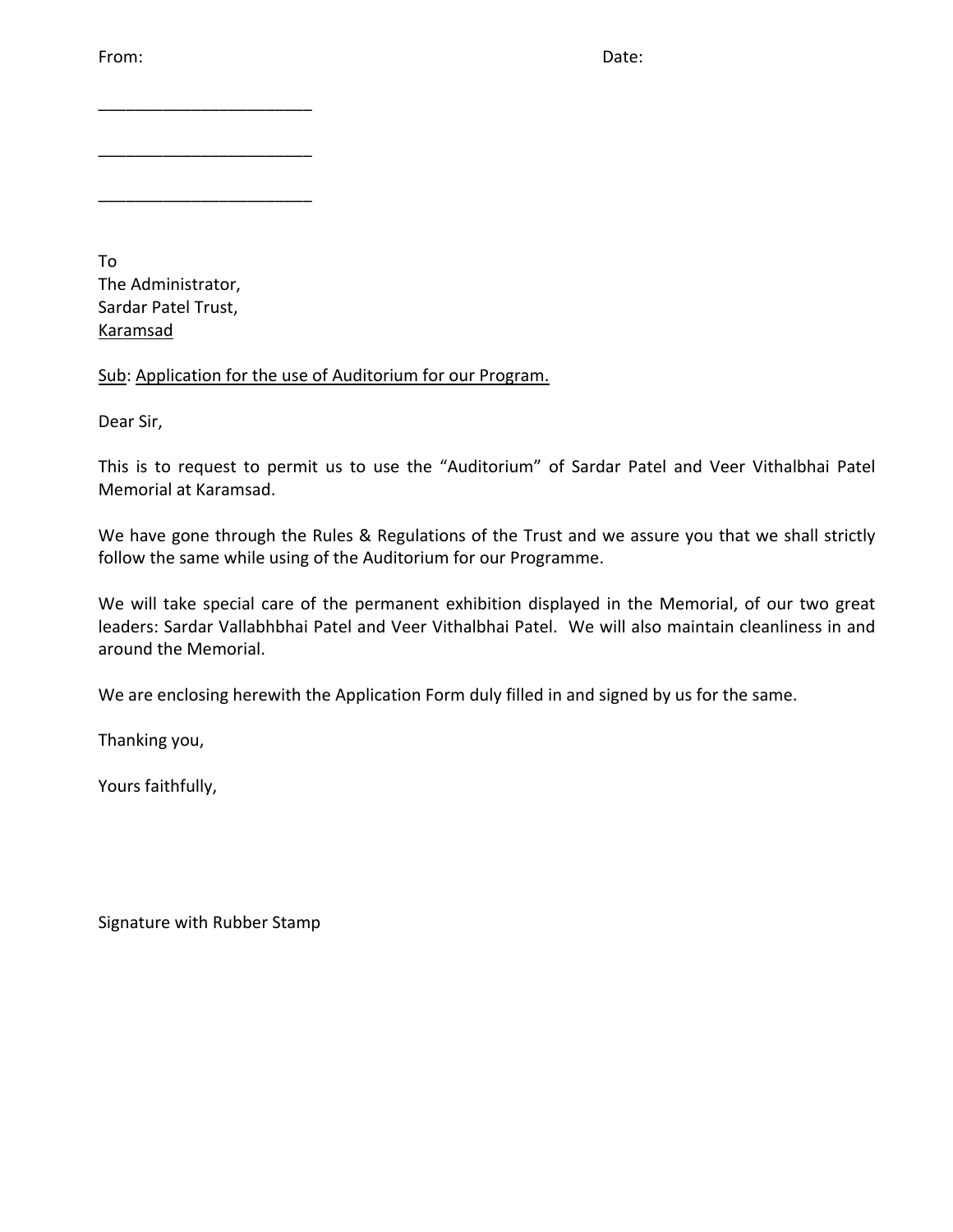From: Date:

To The Administrator, Sardar Patel Trust, Karamsad

\_\_\_\_\_\_\_\_\_\_\_\_\_\_\_\_\_\_\_\_\_\_\_

\_\_\_\_\_\_\_\_\_\_\_\_\_\_\_\_\_\_\_\_\_\_\_

\_\_\_\_\_\_\_\_\_\_\_\_\_\_\_\_\_\_\_\_\_\_\_

Sub: Application for the use of Auditorium for our Program.

Dear Sir,

This is to request to permit us to use the "Auditorium" of Sardar Patel and Veer Vithalbhai Patel Memorial at Karamsad.

We have gone through the Rules & Regulations of the Trust and we assure you that we shall strictly follow the same while using of the Auditorium for our Programme.

We will take special care of the permanent exhibition displayed in the Memorial, of our two great leaders: Sardar Vallabhbhai Patel and Veer Vithalbhai Patel. We will also maintain cleanliness in and around the Memorial.

We are enclosing herewith the Application Form duly filled in and signed by us for the same.

Thanking you,

Yours faithfully,

Signature with Rubber Stamp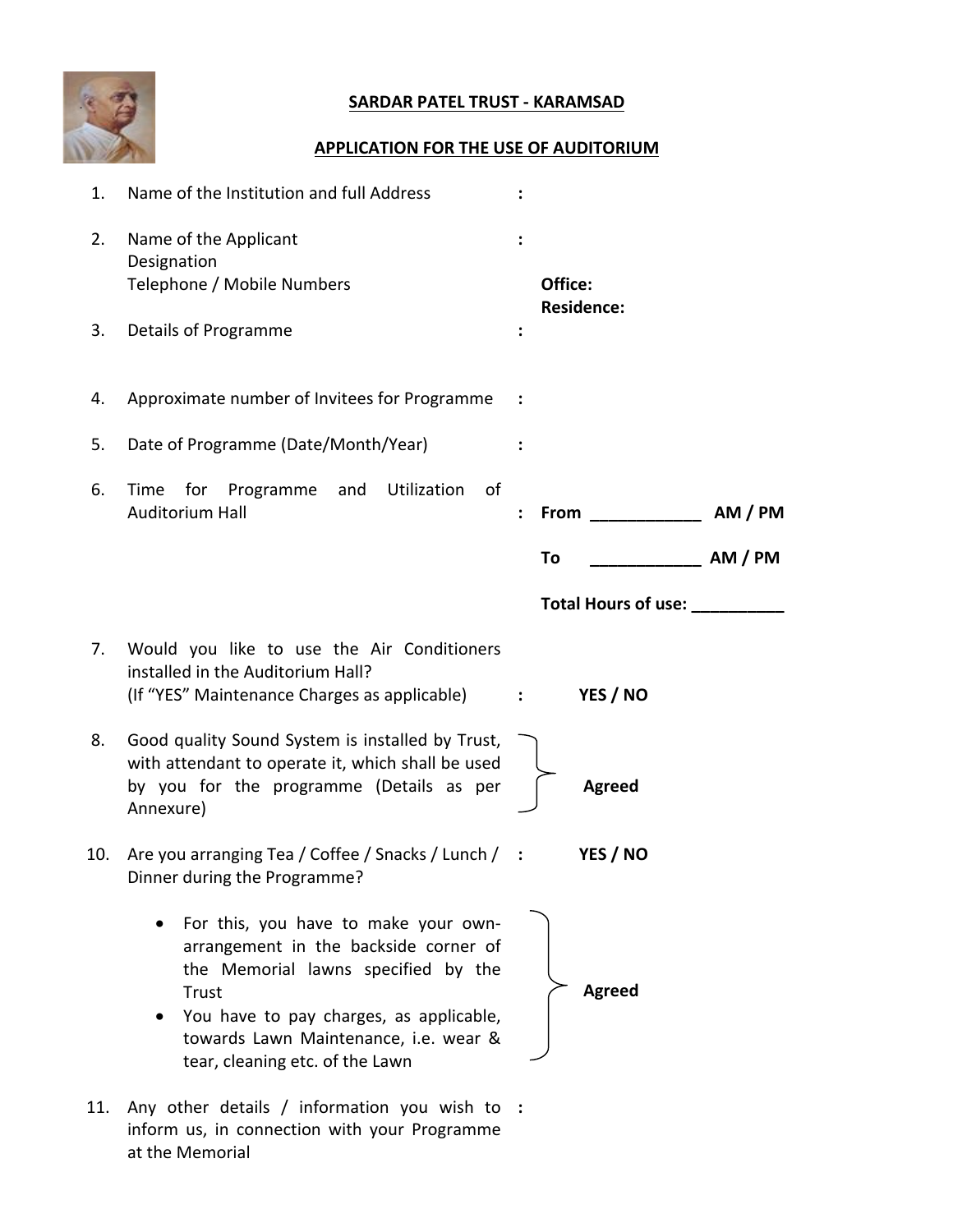

### **SARDAR PATEL TRUST - KARAMSAD**

### **APPLICATION FOR THE USE OF AUDITORIUM**

| 1.  | Name of the Institution and full Address                                                                                                                                                                                                             |                              |                   |
|-----|------------------------------------------------------------------------------------------------------------------------------------------------------------------------------------------------------------------------------------------------------|------------------------------|-------------------|
| 2.  | Name of the Applicant<br>Designation<br>Telephone / Mobile Numbers                                                                                                                                                                                   | Office:<br><b>Residence:</b> |                   |
| 3.  | Details of Programme                                                                                                                                                                                                                                 |                              |                   |
| 4.  | Approximate number of Invitees for Programme                                                                                                                                                                                                         |                              |                   |
| 5.  | Date of Programme (Date/Month/Year)                                                                                                                                                                                                                  |                              |                   |
| 6.  | Utilization<br>0f<br>Time for<br>Programme and<br>Auditorium Hall                                                                                                                                                                                    | <b>From</b><br>÷             | AM / PM           |
|     |                                                                                                                                                                                                                                                      | To                           | _________ AM / PM |
|     |                                                                                                                                                                                                                                                      | Total Hours of use:          |                   |
| 7.  | Would you like to use the Air Conditioners<br>installed in the Auditorium Hall?<br>(If "YES" Maintenance Charges as applicable)                                                                                                                      | YES / NO<br>$\mathbb{R}^2$   |                   |
| 8.  | Good quality Sound System is installed by Trust,<br>with attendant to operate it, which shall be used<br>by you for the programme (Details as per<br>Annexure)                                                                                       | <b>Agreed</b>                |                   |
| 10. | Are you arranging Tea / Coffee / Snacks / Lunch / :<br>Dinner during the Programme?                                                                                                                                                                  | YES / NO                     |                   |
|     | For this, you have to make your own-<br>arrangement in the backside corner of<br>the Memorial lawns specified by the<br>Trust<br>You have to pay charges, as applicable,<br>towards Lawn Maintenance, i.e. wear &<br>tear, cleaning etc. of the Lawn | <b>Agreed</b>                |                   |

11. Any other details / information you wish to **:**inform us, in connection with your Programme at the Memorial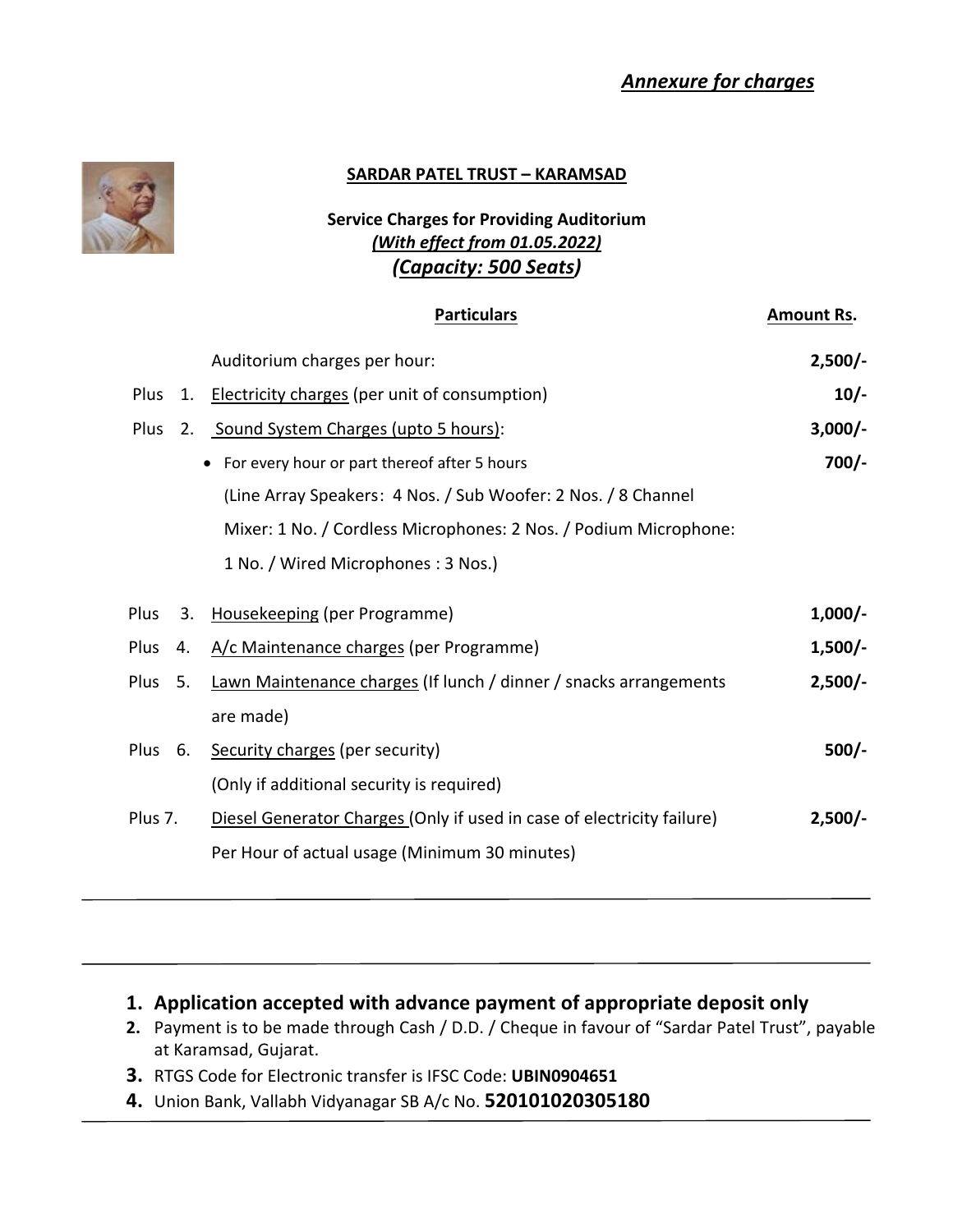## *Annexure for charges*



#### **SARDAR PATEL TRUST – KARAMSAD**

### **Service Charges for Providing Auditorium** *(With effect from 01.05.2022) (Capacity: 500 Seats)*

|                   | <b>Particulars</b>                                                     | <b>Amount Rs.</b> |
|-------------------|------------------------------------------------------------------------|-------------------|
|                   | Auditorium charges per hour:                                           | $2,500/-$         |
| Plus              | 1. Electricity charges (per unit of consumption)                       | $10/-$            |
| Plus              | 2. Sound System Charges (upto 5 hours):                                | $3,000/-$         |
|                   | For every hour or part thereof after 5 hours                           | $700/-$           |
|                   | (Line Array Speakers: 4 Nos. / Sub Woofer: 2 Nos. / 8 Channel          |                   |
|                   | Mixer: 1 No. / Cordless Microphones: 2 Nos. / Podium Microphone:       |                   |
|                   | 1 No. / Wired Microphones: 3 Nos.)                                     |                   |
| <b>Plus</b><br>3. | Housekeeping (per Programme)                                           | $1,000/-$         |
| Plus<br>4.        | A/c Maintenance charges (per Programme)                                | $1,500/-$         |
| Plus<br>5.        | Lawn Maintenance charges (If lunch / dinner / snacks arrangements      | $2,500/-$         |
|                   | are made)                                                              |                   |
| Plus 6.           | Security charges (per security)                                        | $500/-$           |
|                   | (Only if additional security is required)                              |                   |
| Plus 7.           | Diesel Generator Charges (Only if used in case of electricity failure) | $2,500/-$         |
|                   | Per Hour of actual usage (Minimum 30 minutes)                          |                   |

## **1. Application accepted with advance payment of appropriate deposit only**

- **2.** Payment is to be made through Cash / D.D. / Cheque in favour of "Sardar Patel Trust", payable at Karamsad, Gujarat.
- **3.** RTGS Code for Electronic transfer is IFSC Code: **UBIN0904651**
- **4.** Union Bank, Vallabh Vidyanagar SB A/c No. **520101020305180**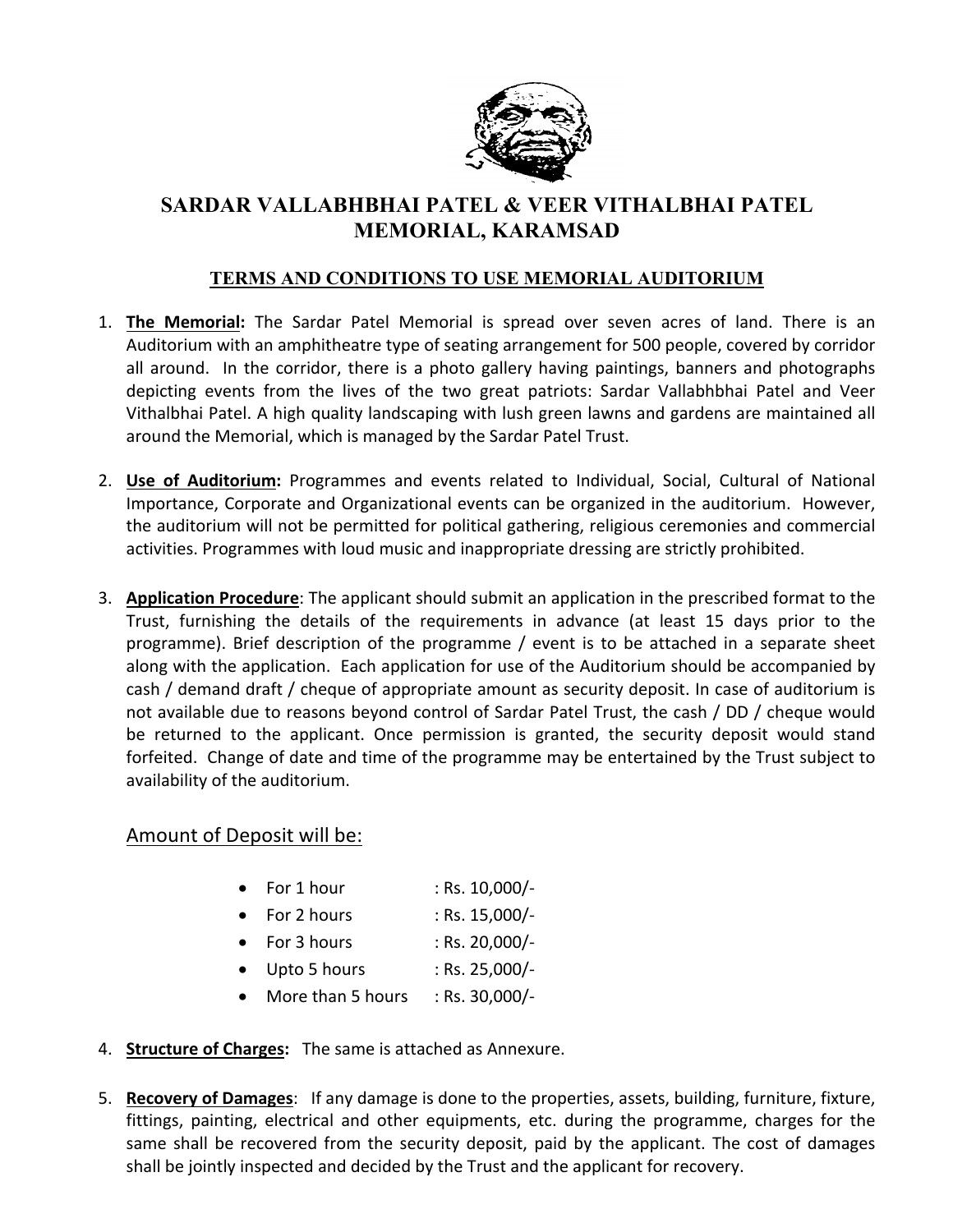

# **SARDAR VALLABHBHAI PATEL & VEER VITHALBHAI PATEL MEMORIAL, KARAMSAD**

#### **TERMS AND CONDITIONS TO USE MEMORIAL AUDITORIUM**

- 1. **The Memorial:** The Sardar Patel Memorial is spread over seven acres of land. There is an Auditorium with an amphitheatre type of seating arrangement for 500 people, covered by corridor all around. In the corridor, there is a photo gallery having paintings, banners and photographs depicting events from the lives of the two great patriots: Sardar Vallabhbhai Patel and Veer Vithalbhai Patel. A high quality landscaping with lush green lawns and gardens are maintained all around the Memorial, which is managed by the Sardar Patel Trust.
- 2. **Use of Auditorium:** Programmes and events related to Individual, Social, Cultural of National Importance, Corporate and Organizational events can be organized in the auditorium. However, the auditorium will not be permitted for political gathering, religious ceremonies and commercial activities. Programmes with loud music and inappropriate dressing are strictly prohibited.
- 3. **Application Procedure**: The applicant should submit an application in the prescribed format to the Trust, furnishing the details of the requirements in advance (at least 15 days prior to the programme). Brief description of the programme / event is to be attached in a separate sheet along with the application. Each application for use of the Auditorium should be accompanied by cash / demand draft / cheque of appropriate amount as security deposit. In case of auditorium is not available due to reasons beyond control of Sardar Patel Trust, the cash / DD / cheque would be returned to the applicant. Once permission is granted, the security deposit would stand forfeited. Change of date and time of the programme may be entertained by the Trust subject to availability of the auditorium.

### Amount of Deposit will be:

- For  $1$  hour : Rs.  $10,000$ /-
- For 2 hours : Rs. 15,000/-
- For 3 hours  $: Rs. 20,000/-$
- $\bullet$  Upto 5 hours : Rs. 25,000/-
- More than 5 hours  $\therefore$  Rs. 30,000/-
- 4. **Structure of Charges:** The same is attached as Annexure.
- 5. **Recovery of Damages**: If any damage is done to the properties, assets, building, furniture, fixture, fittings, painting, electrical and other equipments, etc. during the programme, charges for the same shall be recovered from the security deposit, paid by the applicant. The cost of damages shall be jointly inspected and decided by the Trust and the applicant for recovery.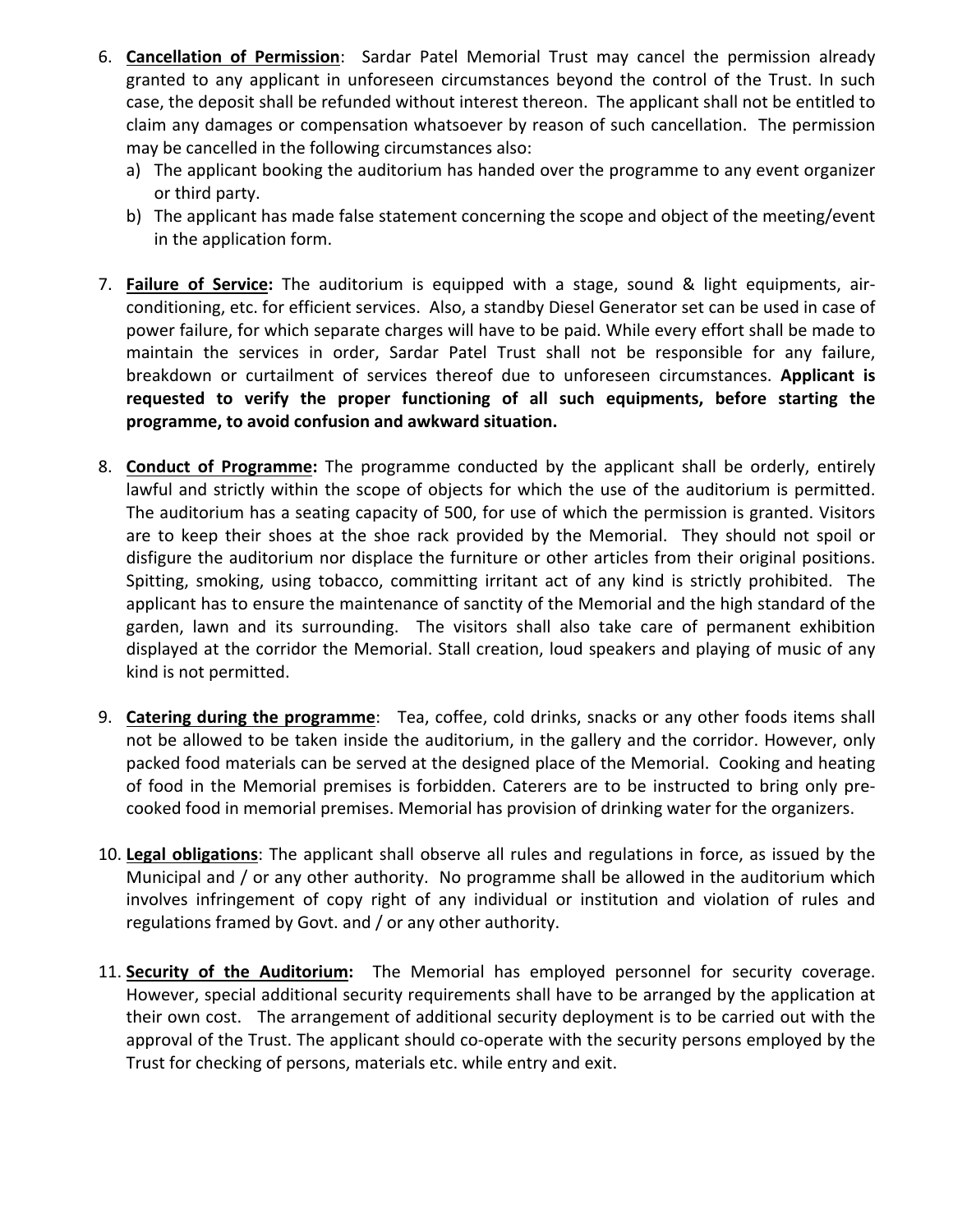- 6. **Cancellation of Permission**: Sardar Patel Memorial Trust may cancel the permission already granted to any applicant in unforeseen circumstances beyond the control of the Trust. In such case, the deposit shall be refunded without interest thereon. The applicant shall not be entitled to claim any damages or compensation whatsoever by reason of such cancellation. The permission may be cancelled in the following circumstances also:
	- a) The applicant booking the auditorium has handed over the programme to any event organizer or third party.
	- b) The applicant has made false statement concerning the scope and object of the meeting/event in the application form.
- 7. **Failure of Service:** The auditorium is equipped with a stage, sound & light equipments, airconditioning, etc. for efficient services. Also, a standby Diesel Generator set can be used in case of power failure, for which separate charges will have to be paid. While every effort shall be made to maintain the services in order, Sardar Patel Trust shall not be responsible for any failure, breakdown or curtailment of services thereof due to unforeseen circumstances. **Applicant is requested to verify the proper functioning of all such equipments, before starting the programme, to avoid confusion and awkward situation.**
- 8. **Conduct of Programme:** The programme conducted by the applicant shall be orderly, entirely lawful and strictly within the scope of objects for which the use of the auditorium is permitted. The auditorium has a seating capacity of 500, for use of which the permission is granted. Visitors are to keep their shoes at the shoe rack provided by the Memorial. They should not spoil or disfigure the auditorium nor displace the furniture or other articles from their original positions. Spitting, smoking, using tobacco, committing irritant act of any kind is strictly prohibited. The applicant has to ensure the maintenance of sanctity of the Memorial and the high standard of the garden, lawn and its surrounding. The visitors shall also take care of permanent exhibition displayed at the corridor the Memorial. Stall creation, loud speakers and playing of music of any kind is not permitted.
- 9. **Catering during the programme**: Tea, coffee, cold drinks, snacks or any other foods items shall not be allowed to be taken inside the auditorium, in the gallery and the corridor. However, only packed food materials can be served at the designed place of the Memorial. Cooking and heating of food in the Memorial premises is forbidden. Caterers are to be instructed to bring only precooked food in memorial premises. Memorial has provision of drinking water for the organizers.
- 10. **Legal obligations**: The applicant shall observe all rules and regulations in force, as issued by the Municipal and / or any other authority. No programme shall be allowed in the auditorium which involves infringement of copy right of any individual or institution and violation of rules and regulations framed by Govt. and / or any other authority.
- 11. **Security of the Auditorium:** The Memorial has employed personnel for security coverage. However, special additional security requirements shall have to be arranged by the application at their own cost. The arrangement of additional security deployment is to be carried out with the approval of the Trust. The applicant should co-operate with the security persons employed by the Trust for checking of persons, materials etc. while entry and exit.